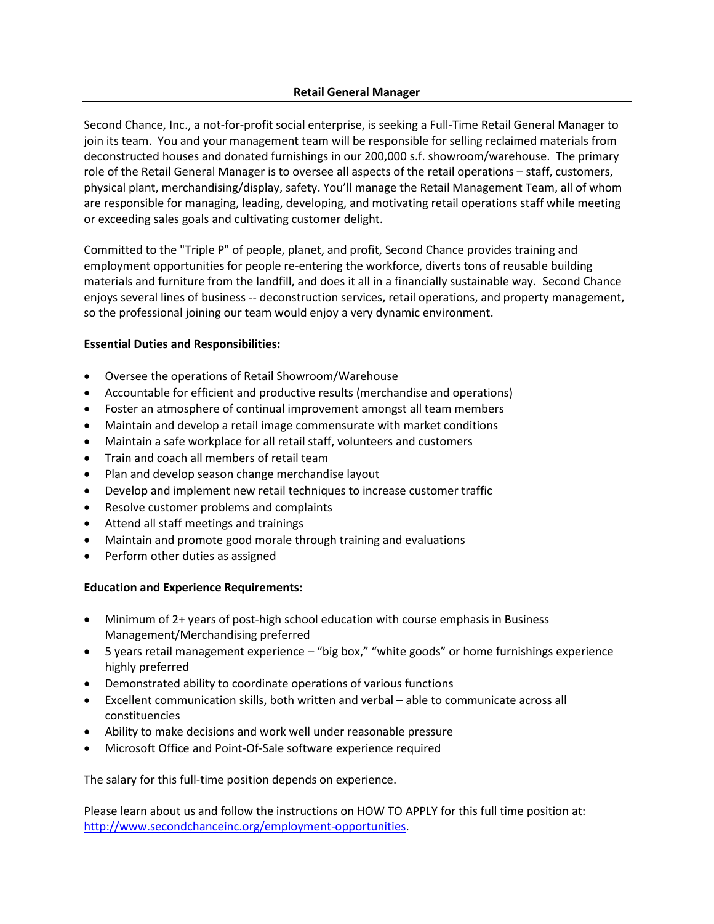Second Chance, Inc., a not-for-profit social enterprise, is seeking a Full-Time Retail General Manager to join its team. You and your management team will be responsible for selling reclaimed materials from deconstructed houses and donated furnishings in our 200,000 s.f. showroom/warehouse. The primary role of the Retail General Manager is to oversee all aspects of the retail operations – staff, customers, physical plant, merchandising/display, safety. You'll manage the Retail Management Team, all of whom are responsible for managing, leading, developing, and motivating retail operations staff while meeting or exceeding sales goals and cultivating customer delight.

Committed to the "Triple P" of people, planet, and profit, Second Chance provides training and employment opportunities for people re-entering the workforce, diverts tons of reusable building materials and furniture from the landfill, and does it all in a financially sustainable way. Second Chance enjoys several lines of business -- deconstruction services, retail operations, and property management, so the professional joining our team would enjoy a very dynamic environment.

## **Essential Duties and Responsibilities:**

- Oversee the operations of Retail Showroom/Warehouse
- Accountable for efficient and productive results (merchandise and operations)
- Foster an atmosphere of continual improvement amongst all team members
- Maintain and develop a retail image commensurate with market conditions
- Maintain a safe workplace for all retail staff, volunteers and customers
- Train and coach all members of retail team
- Plan and develop season change merchandise layout
- Develop and implement new retail techniques to increase customer traffic
- Resolve customer problems and complaints
- Attend all staff meetings and trainings
- Maintain and promote good morale through training and evaluations
- Perform other duties as assigned

## **Education and Experience Requirements:**

- Minimum of 2+ years of post-high school education with course emphasis in Business Management/Merchandising preferred
- 5 years retail management experience "big box," "white goods" or home furnishings experience highly preferred
- Demonstrated ability to coordinate operations of various functions
- Excellent communication skills, both written and verbal able to communicate across all constituencies
- Ability to make decisions and work well under reasonable pressure
- Microsoft Office and Point-Of-Sale software experience required

The salary for this full-time position depends on experience.

Please learn about us and follow the instructions on HOW TO APPLY for this full time position at: [http://www.secondchanceinc.org/employment-opportunities.](http://www.secondchanceinc.org/employment-opportunities)